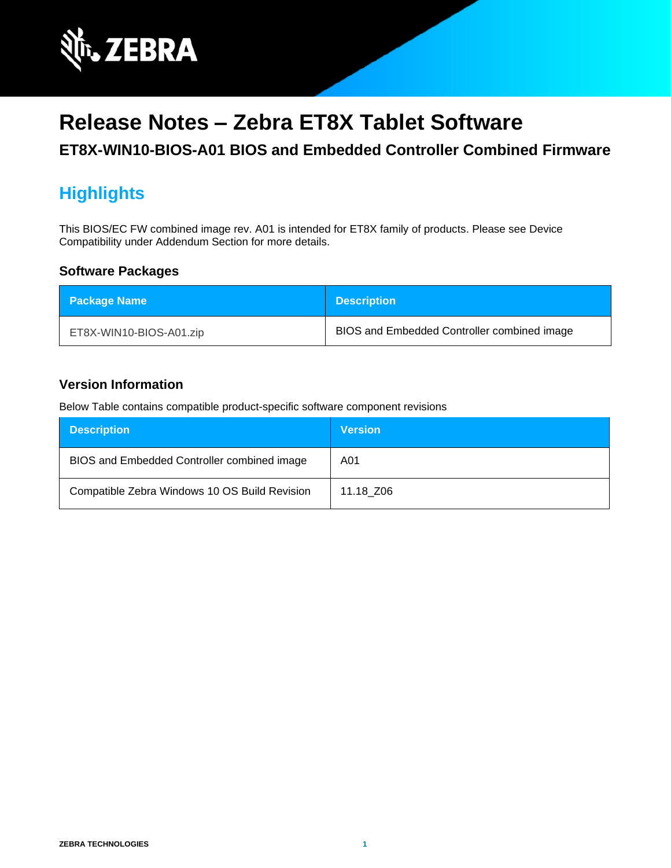

# **Release Notes – Zebra ET8X Tablet Software**

**ET8X-WIN10-BIOS-A01 BIOS and Embedded Controller Combined Firmware**

# **Highlights**

This BIOS/EC FW combined image rev. A01 is intended for ET8X family of products. Please see Device Compatibility under Addendum Section for more details.

#### **Software Packages**

| <b>Package Name</b>     | <b>Description</b>                          |
|-------------------------|---------------------------------------------|
| ET8X-WIN10-BIOS-A01.zip | BIOS and Embedded Controller combined image |

#### **Version Information**

Below Table contains compatible product-specific software component revisions

| <b>Description</b>                            | <b>Version</b> |
|-----------------------------------------------|----------------|
| BIOS and Embedded Controller combined image   | A01            |
| Compatible Zebra Windows 10 OS Build Revision | 11.18 Z06      |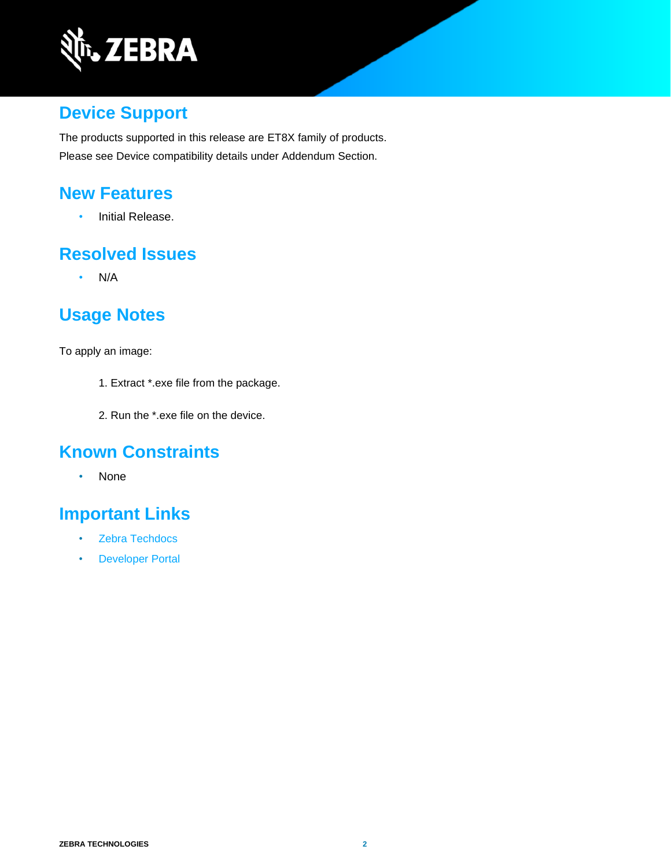

## **Device Support**

The products supported in this release are ET8X family of products. Please see Device compatibility details under Addendum Section.

#### **New Features**

• Initial Release.

#### **Resolved Issues**

• N/A

## **Usage Notes**

To apply an image:

- 1. Extract \*.exe file from the package.
- 2. Run the \*.exe file on the device.

#### **Known Constraints**

• None

# **Important Links**

- [Zebra Techdocs](http://techdocs.zebra.com/)
- [Developer Portal](http://developer.zebra.com/)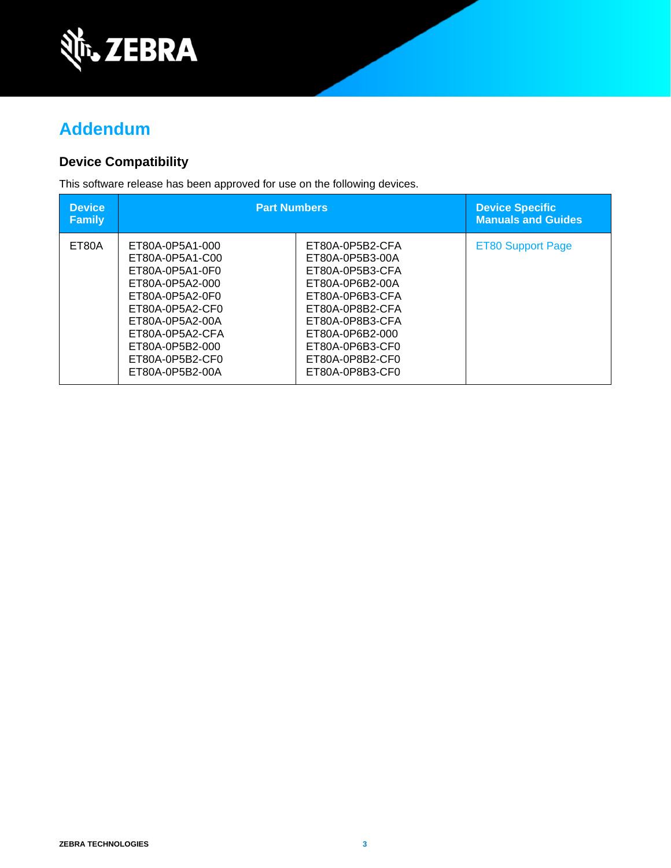

## **Addendum**

#### **Device Compatibility**

This software release has been approved for use on the following devices.

| <b>Device</b><br><b>Family</b> | <b>Part Numbers</b>                                                                                                                                                                                           |                                                                                                                                                                                                               | <b>Device Specific</b><br><b>Manuals and Guides</b> |
|--------------------------------|---------------------------------------------------------------------------------------------------------------------------------------------------------------------------------------------------------------|---------------------------------------------------------------------------------------------------------------------------------------------------------------------------------------------------------------|-----------------------------------------------------|
| ET80A                          | ET80A-0P5A1-000<br>ET80A-0P5A1-C00<br>ET80A-0P5A1-0F0<br>ET80A-0P5A2-000<br>ET80A-0P5A2-0F0<br>ET80A-0P5A2-CF0<br>ET80A-0P5A2-00A<br>ET80A-0P5A2-CFA<br>ET80A-0P5B2-000<br>ET80A-0P5B2-CF0<br>ET80A-0P5B2-00A | ET80A-0P5B2-CFA<br>ET80A-0P5B3-00A<br>ET80A-0P5B3-CFA<br>ET80A-0P6B2-00A<br>ET80A-0P6B3-CFA<br>ET80A-0P8B2-CFA<br>ET80A-0P8B3-CFA<br>ET80A-0P6B2-000<br>ET80A-0P6B3-CF0<br>ET80A-0P8B2-CF0<br>ET80A-0P8B3-CF0 | <b>ET80 Support Page</b>                            |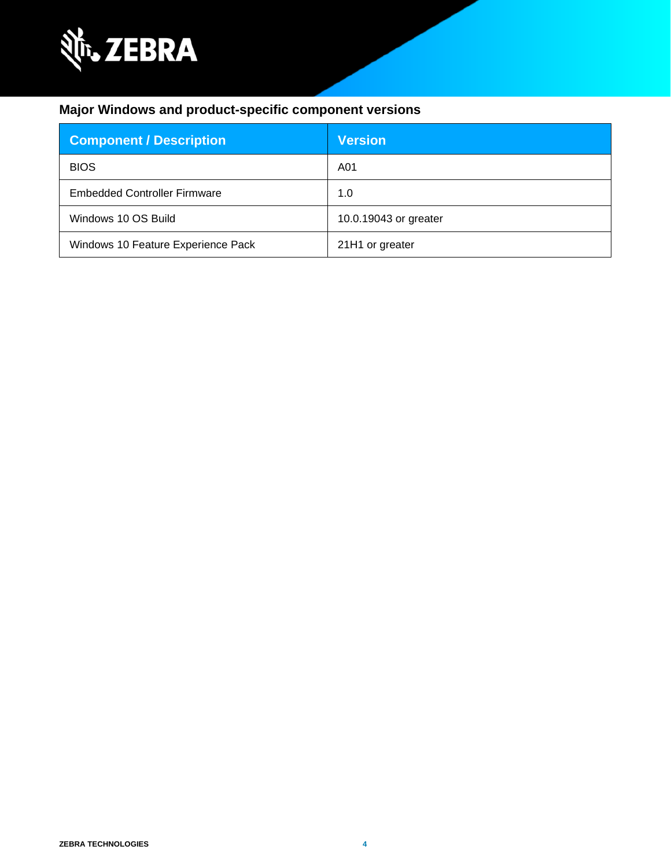

#### **Major Windows and product-specific component versions**

| <b>Component / Description</b>      | <b>Version</b>        |
|-------------------------------------|-----------------------|
| <b>BIOS</b>                         | A01                   |
| <b>Embedded Controller Firmware</b> | 1.0                   |
| Windows 10 OS Build                 | 10.0.19043 or greater |
| Windows 10 Feature Experience Pack  | 21H1 or greater       |